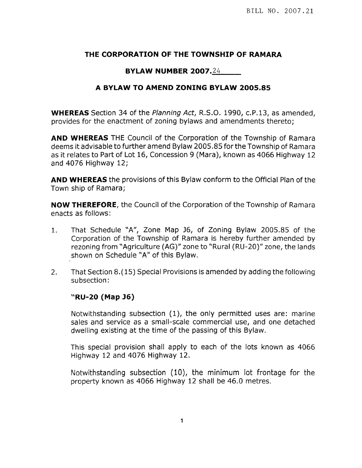## THE CORPORATION OF THE TOWNSHIP OF RAMARA

## **BYLAW NUMBER 2007.24**

## A BYLAW TO AMEND ZONING BYLAW 2005.85

**WHEREAS** Section 34 of the Planning Act, R.S.O. 1990, c.P.13, as amended. provides for the enactment of zoning bylaws and amendments thereto;

**AND WHEREAS** THE Council of the Corporation of the Township of Ramara deems it advisable to further amend Bylaw 2005.85 for the Township of Ramara as it relates to Part of Lot 16, Concession 9 (Mara), known as 4066 Highway 12 and 4076 Highway 12;

**AND WHEREAS** the provisions of this Bylaw conform to the Official Plan of the Town ship of Ramara;

**NOW THEREFORE**, the Council of the Corporation of the Township of Ramara enacts as follows:

- That Schedule "A", Zone Map J6, of Zoning Bylaw 2005.85 of the  $1<sub>1</sub>$ Corporation of the Township of Ramara is hereby further amended by rezoning from "Agriculture (AG)" zone to "Rural (RU-20)" zone, the lands shown on Schedule "A" of this Bylaw.
- That Section 8.(15) Special Provisions is amended by adding the following  $2.$ subsection:

## "RU-20 (Map J6)

Notwithstanding subsection (1), the only permitted uses are: marine sales and service as a small-scale commercial use, and one detached dwelling existing at the time of the passing of this Bylaw.

This special provision shall apply to each of the lots known as 4066 Highway 12 and 4076 Highway 12.

Notwithstanding subsection (10), the minimum lot frontage for the property known as 4066 Highway 12 shall be 46.0 metres.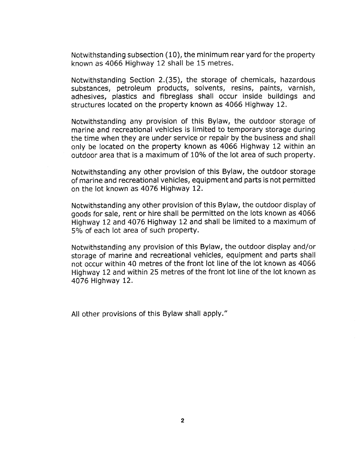Notwithstanding subsection (10), the minimum rear yard for the property known as 4066 Highway 12 shall be 15 metres.

Notwithstanding Section 2.(35), the storage of chemicals, hazardous substances, petroleum products, solvents, resins, paints, varnish, adhesives, plastics and fibreglass shall occur inside buildings and structures located on the property known as 4066 Highway 12.

Notwithstanding any provision of this Bylaw, the outdoor storage of marine and recreational vehicles is limited to temporary storage during the time when they are under service or repair by the business and shall only be Iocated on the property known as 4066 Highway 12 within an outdoor area that is a maximum of 10% of the lot area of such property.

Notwithstanding any other provision of this Bylaw, the outdoor storage of marine and recreational vehicles, equipment and parts is not permitted on the lot known as 4076 Highway 12.

Notwithstanding any other provision of this Bylaw, the outdoor display of goods for sale, rent or hire shall be permitted on the lots known as 4066 Highway 12 and 4076 Highway 12 and shall be limited to a maximum of 5% of each lot area of such property.

Notwithstanding any provision of this Bylaw, the outdoor display and/or storage of marine and recreational vehicles, equipment and parts shall not occur within 40 metres of the front lot line of the lot known as 4066 Highway 12 and within 25 metres of the front lot line of the lot known as 4076 Highway 12.

All other provisions of this Bylaw shall apply."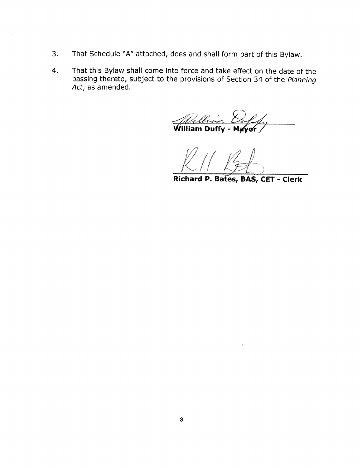- That Schedule "A" attached, does and shall form part of this Bylaw.  $3.$
- That this Bylaw shall come into force and take effect on the date of the passing thereto, subject to the provisions of Section 34 of the Planning 4. Act, as amended.

William Duffy - Ma vor

Richard P. Bates, BAS, CET - Clerk